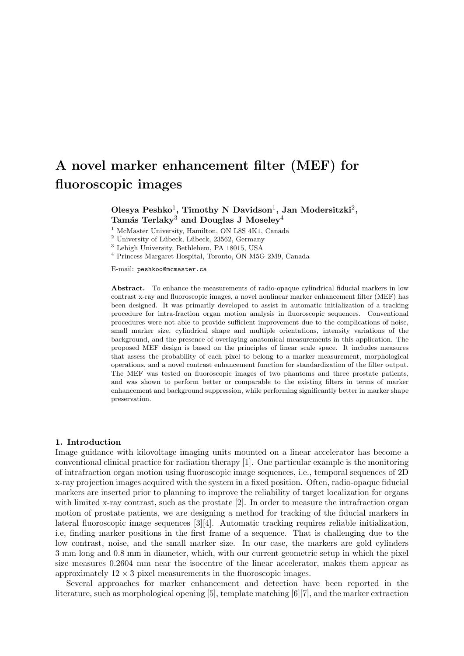# **A novel marker enhancement filter (MEF) for fluoroscopic images**

# Olesya Peshko<sup>1</sup>, Timothy N Davidson<sup>1</sup>, Jan Modersitzki<sup>2</sup>, **Tam´as Terlaky**<sup>3</sup> **and Douglas J Moseley**<sup>4</sup>

<sup>1</sup> McMaster University, Hamilton, ON L8S 4K1, Canada

- $2$  University of Lübeck, Lübeck, 23562, Germany
- <sup>3</sup> Lehigh University, Bethlehem, PA 18015, USA
- <sup>4</sup> Princess Margaret Hospital, Toronto, ON M5G 2M9, Canada

E-mail: peshkoo@mcmaster.ca

**Abstract.** To enhance the measurements of radio-opaque cylindrical fiducial markers in low contrast x-ray and fluoroscopic images, a novel nonlinear marker enhancement filter (MEF) has been designed. It was primarily developed to assist in automatic initialization of a tracking procedure for intra-fraction organ motion analysis in fluoroscopic sequences. Conventional procedures were not able to provide sufficient improvement due to the complications of noise, small marker size, cylindrical shape and multiple orientations, intensity variations of the background, and the presence of overlaying anatomical measurements in this application. The proposed MEF design is based on the principles of linear scale space. It includes measures that assess the probability of each pixel to belong to a marker measurement, morphological operations, and a novel contrast enhancement function for standardization of the filter output. The MEF was tested on fluoroscopic images of two phantoms and three prostate patients, and was shown to perform better or comparable to the existing filters in terms of marker enhancement and background suppression, while performing significantly better in marker shape preservation.

## **1. Introduction**

Image guidance with kilovoltage imaging units mounted on a linear accelerator has become a conventional clinical practice for radiation therapy [1]. One particular example is the monitoring of intrafraction organ motion using fluoroscopic image sequences, i.e., temporal sequences of 2D x-ray projection images acquired with the system in a fixed position. Often, radio-opaque fiducial markers are inserted prior to planning to improve the reliability of target localization for organs with limited x-ray contrast, such as the prostate [2]. In order to measure the intrafraction organ motion of prostate patients, we are designing a method for tracking of the fiducial markers in lateral fluoroscopic image sequences [3][4]. Automatic tracking requires reliable initialization, i.e, finding marker positions in the first frame of a sequence. That is challenging due to the low contrast, noise, and the small marker size. In our case, the markers are gold cylinders 3 mm long and 0.8 mm in diameter, which, with our current geometric setup in which the pixel size measures 0.2604 mm near the isocentre of the linear accelerator, makes them appear as approximately  $12 \times 3$  pixel measurements in the fluoroscopic images.

Several approaches for marker enhancement and detection have been reported in the literature, such as morphological opening [5], template matching [6][7], and the marker extraction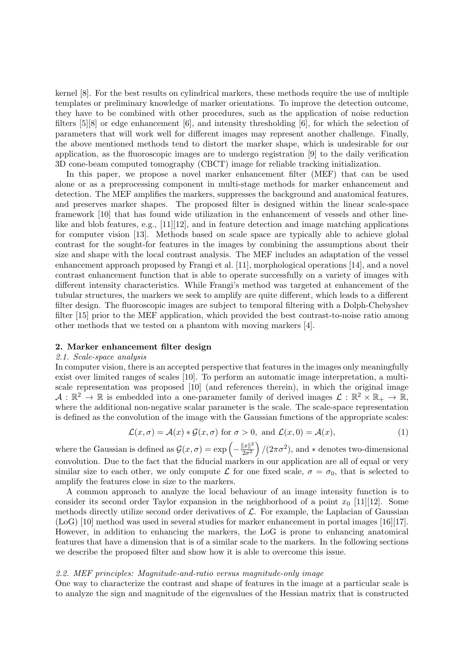kernel [8]. For the best results on cylindrical markers, these methods require the use of multiple templates or preliminary knowledge of marker orientations. To improve the detection outcome, they have to be combined with other procedures, such as the application of noise reduction filters [5][8] or edge enhancement [6], and intensity thresholding [6], for which the selection of parameters that will work well for different images may represent another challenge. Finally, the above mentioned methods tend to distort the marker shape, which is undesirable for our application, as the fluoroscopic images are to undergo registration [9] to the daily verification 3D cone-beam computed tomography (CBCT) image for reliable tracking initialization.

In this paper, we propose a novel marker enhancement filter (MEF) that can be used alone or as a preprocessing component in multi-stage methods for marker enhancement and detection. The MEF amplifies the markers, suppresses the background and anatomical features, and preserves marker shapes. The proposed filter is designed within the linear scale-space framework [10] that has found wide utilization in the enhancement of vessels and other linelike and blob features, e.g., [11][12], and in feature detection and image matching applications for computer vision [13]. Methods based on scale space are typically able to achieve global contrast for the sought-for features in the images by combining the assumptions about their size and shape with the local contrast analysis. The MEF includes an adaptation of the vessel enhancement approach proposed by Frangi et al. [11], morphological operations [14], and a novel contrast enhancement function that is able to operate successfully on a variety of images with different intensity characteristics. While Frangi's method was targeted at enhancement of the tubular structures, the markers we seek to amplify are quite different, which leads to a different filter design. The fluoroscopic images are subject to temporal filtering with a Dolph-Chebyshev filter [15] prior to the MEF application, which provided the best contrast-to-noise ratio among other methods that we tested on a phantom with moving markers [4].

#### **2. Marker enhancement filter design**

# *2.1. Scale-space analysis*

In computer vision, there is an accepted perspective that features in the images only meaningfully exist over limited ranges of scales [10]. To perform an automatic image interpretation, a multiscale representation was proposed [10] (and references therein), in which the original image  $A: \mathbb{R}^2 \to \mathbb{R}$  is embedded into a one-parameter family of derived images  $\mathcal{L}: \mathbb{R}^2 \times \mathbb{R}_+ \to \mathbb{R}$ , where the additional non-negative scalar parameter is the scale. The scale-space representation is defined as the convolution of the image with the Gaussian functions of the appropriate scales:

$$
\mathcal{L}(x,\sigma) = \mathcal{A}(x) * \mathcal{G}(x,\sigma) \text{ for } \sigma > 0, \text{ and } \mathcal{L}(x,0) = \mathcal{A}(x),
$$
 (1)

where the Gaussian is defined as  $\mathcal{G}(x, \sigma) = \exp\left(-\frac{\|x\|^2}{2\sigma^2}\right)$  $2\sigma^2$  $\int$  /(2 $\pi \sigma^2$ ), and  $*$  denotes two-dimensional convolution. Due to the fact that the fiducial markers in our application are all of equal or very similar size to each other, we only compute  $\mathcal L$  for one fixed scale,  $\sigma = \sigma_0$ , that is selected to amplify the features close in size to the markers.

A common approach to analyze the local behaviour of an image intensity function is to consider its second order Taylor expansion in the neighborhood of a point  $x_0$  [11][12]. Some methods directly utilize second order derivatives of *L*. For example, the Laplacian of Gaussian (LoG) [10] method was used in several studies for marker enhancement in portal images [16][17]. However, in addition to enhancing the markers, the LoG is prone to enhancing anatomical features that have a dimension that is of a similar scale to the markers. In the following sections we describe the proposed filter and show how it is able to overcome this issue.

#### *2.2. MEF principles: Magnitude-and-ratio versus magnitude-only image*

One way to characterize the contrast and shape of features in the image at a particular scale is to analyze the sign and magnitude of the eigenvalues of the Hessian matrix that is constructed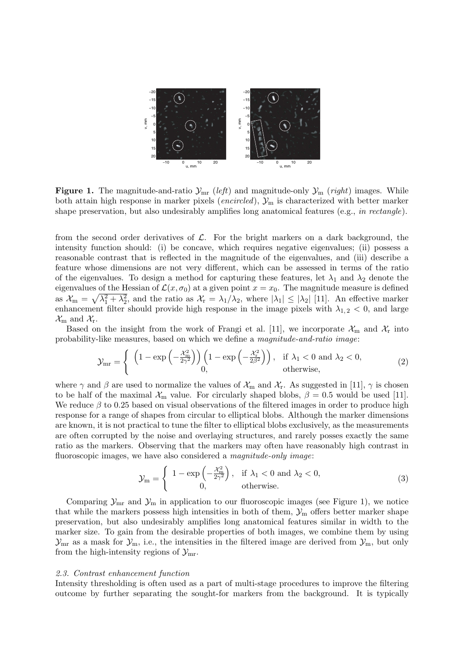

**Figure 1.** The magnitude-and-ratio  $\mathcal{Y}_{mr}$  (*left*) and magnitude-only  $\mathcal{Y}_{m}$  (*right*) images. While both attain high response in marker pixels (*encircled*), *Y*<sup>m</sup> is characterized with better marker shape preservation, but also undesirably amplifies long anatomical features (e.g., *in rectangle*).

from the second order derivatives of *L*. For the bright markers on a dark background, the intensity function should: (i) be concave, which requires negative eigenvalues; (ii) possess a reasonable contrast that is reflected in the magnitude of the eigenvalues, and (iii) describe a feature whose dimensions are not very different, which can be assessed in terms of the ratio of the eigenvalues. To design a method for capturing these features, let  $\lambda_1$  and  $\lambda_2$  denote the eigenvalues of the Hessian of  $\mathcal{L}(x, \sigma_0)$  at a given point  $x = x_0$ . The magnitude measure is defined as  $\mathcal{X}_{m} = \sqrt{\lambda_{1}^{2} + \lambda_{2}^{2}}$ , and the ratio as  $\mathcal{X}_{r} = \lambda_{1}/\lambda_{2}$ , where  $|\lambda_{1}| \leq |\lambda_{2}|$  [11]. An effective marker enhancement filter should provide high response in the image pixels with  $\lambda_{1,2}$  < 0, and large  $\mathcal{X}_{m}$  and  $\mathcal{X}_{r}$ .

Based on the insight from the work of Frangi et al. [11], we incorporate  $\mathcal{X}_m$  and  $\mathcal{X}_r$  into probability-like measures, based on which we define a *magnitude-and-ratio image*:

$$
\mathcal{Y}_{mr} = \begin{cases} \left(1 - \exp\left(-\frac{\chi_m^2}{2\gamma^2}\right)\right) \left(1 - \exp\left(-\frac{\chi_r^2}{2\beta^2}\right)\right), & \text{if } \lambda_1 < 0 \text{ and } \lambda_2 < 0, \\ 0, & \text{otherwise,} \end{cases}
$$
 (2)

where  $\gamma$  and  $\beta$  are used to normalize the values of  $\mathcal{X}_{m}$  and  $\mathcal{X}_{r}$ . As suggested in [11],  $\gamma$  is chosen to be half of the maximal  $\mathcal{X}_{m}$  value. For circularly shaped blobs,  $\beta = 0.5$  would be used [11]. We reduce *β* to 0.25 based on visual observations of the filtered images in order to produce high response for a range of shapes from circular to elliptical blobs. Although the marker dimensions are known, it is not practical to tune the filter to elliptical blobs exclusively, as the measurements are often corrupted by the noise and overlaying structures, and rarely posses exactly the same ratio as the markers. Observing that the markers may often have reasonably high contrast in fluoroscopic images, we have also considered a *magnitude-only image*:

$$
\mathcal{Y}_{m} = \begin{cases} 1 - \exp\left(-\frac{\mathcal{X}_{m}^{2}}{2\gamma^{2}}\right), & \text{if } \lambda_{1} < 0 \text{ and } \lambda_{2} < 0, \\ 0, & \text{otherwise.} \end{cases}
$$
 (3)

Comparing  $\mathcal{Y}_{\text{mr}}$  and  $\mathcal{Y}_{\text{m}}$  in application to our fluoroscopic images (see Figure 1), we notice that while the markers possess high intensities in both of them,  $\mathcal{Y}_m$  offers better marker shape preservation, but also undesirably amplifies long anatomical features similar in width to the marker size. To gain from the desirable properties of both images, we combine them by using  $\mathcal{Y}_{mr}$  as a mask for  $\mathcal{Y}_m$ , i.e., the intensities in the filtered image are derived from  $\mathcal{Y}_m$ , but only from the high-intensity regions of  $\mathcal{Y}_{mr}$ .

## *2.3. Contrast enhancement function*

Intensity thresholding is often used as a part of multi-stage procedures to improve the filtering outcome by further separating the sought-for markers from the background. It is typically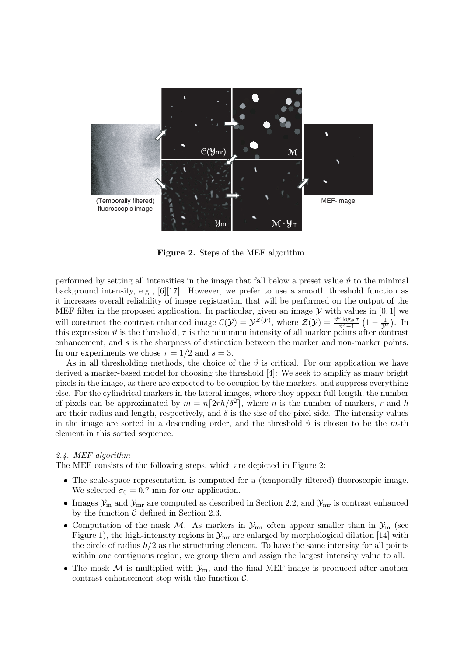

**Figure 2.** Steps of the MEF algorithm.

performed by setting all intensities in the image that fall below a preset value  $\vartheta$  to the minimal background intensity, e.g.,  $[6][17]$ . However, we prefer to use a smooth threshold function as it increases overall reliability of image registration that will be performed on the output of the MEF filter in the proposed application. In particular, given an image  $Y$  with values in [0, 1] we will construct the contrast enhanced image  $C(\mathcal{Y}) = \mathcal{Y}^{\mathcal{Z}(\mathcal{Y})}$ , where  $\mathcal{Z}(\mathcal{Y}) = \frac{\vartheta^s \log_{\vartheta} \tau}{\vartheta^s - 1}$  $\frac{s \log_{\vartheta} \tau}{\vartheta^{s} - 1}$  (1 −  $\frac{1}{\mathcal{Y}^{s}}$ ). In this expression  $\vartheta$  is the threshold,  $\tau$  is the minimum intensity of all marker points after contrast enhancement, and *s* is the sharpness of distinction between the marker and non-marker points. In our experiments we chose  $\tau = 1/2$  and  $s = 3$ .

As in all thresholding methods, the choice of the  $\vartheta$  is critical. For our application we have derived a marker-based model for choosing the threshold [4]: We seek to amplify as many bright pixels in the image, as there are expected to be occupied by the markers, and suppress everything else. For the cylindrical markers in the lateral images, where they appear full-length, the number of pixels can be approximated by  $m = n \lceil 2rh/\delta^2 \rceil$ , where *n* is the number of markers, *r* and *h* are their radius and length, respectively, and  $\delta$  is the size of the pixel side. The intensity values in the image are sorted in a descending order, and the threshold  $\vartheta$  is chosen to be the *m*-th element in this sorted sequence.

## *2.4. MEF algorithm*

The MEF consists of the following steps, which are depicted in Figure 2:

- The scale-space representation is computed for a (temporally filtered) fluoroscopic image. We selected  $\sigma_0 = 0.7$  mm for our application.
- Images  $\mathcal{Y}_{\text{m}}$  and  $\mathcal{Y}_{\text{mr}}$  are computed as described in Section 2.2, and  $\mathcal{Y}_{\text{mr}}$  is contrast enhanced by the function *C* defined in Section 2.3.
- Computation of the mask *M*. As markers in  $\mathcal{Y}_{mr}$  often appear smaller than in  $\mathcal{Y}_{m}$  (see Figure 1), the high-intensity regions in  $\mathcal{Y}_{mr}$  are enlarged by morphological dilation [14] with the circle of radius  $h/2$  as the structuring element. To have the same intensity for all points within one contiguous region, we group them and assign the largest intensity value to all.
- *•* The mask *M* is multiplied with *Y*m, and the final MEF-image is produced after another contrast enhancement step with the function *C*.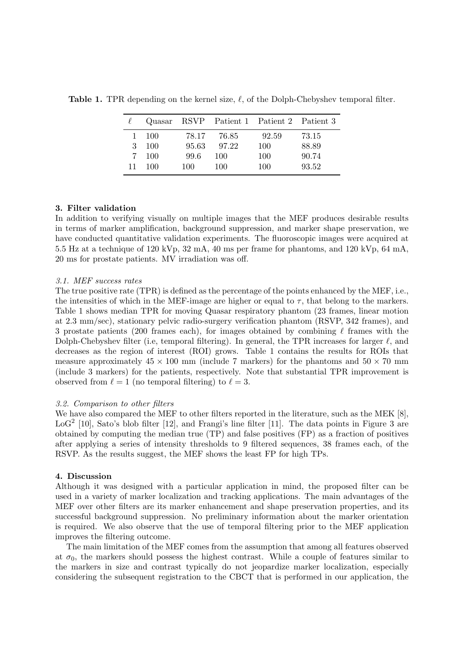|    | Quasar |       |       | RSVP Patient 1 Patient 2 Patient 3 |       |
|----|--------|-------|-------|------------------------------------|-------|
| 1. | - 100  | 78.17 | 76.85 | 92.59                              | 73.15 |
| 3  | 100    | 95.63 | 97.22 | 100                                | 88.89 |
| 7. | - 100  | 99.6  | 100   | 100                                | 90.74 |
| 11 | 100    | 100   | 100   | 100                                | 93.52 |

**Table 1.** TPR depending on the kernel size, *ℓ*, of the Dolph-Chebyshev temporal filter.

# **3. Filter validation**

In addition to verifying visually on multiple images that the MEF produces desirable results in terms of marker amplification, background suppression, and marker shape preservation, we have conducted quantitative validation experiments. The fluoroscopic images were acquired at 5.5 Hz at a technique of 120 kVp, 32 mA, 40 ms per frame for phantoms, and 120 kVp, 64 mA, 20 ms for prostate patients. MV irradiation was off.

## *3.1. MEF success rates*

The true positive rate (TPR) is defined as the percentage of the points enhanced by the MEF, i.e., the intensities of which in the MEF-image are higher or equal to  $\tau$ , that belong to the markers. Table 1 shows median TPR for moving Quasar respiratory phantom (23 frames, linear motion at 2.3 mm/sec), stationary pelvic radio-surgery verification phantom (RSVP, 342 frames), and 3 prostate patients (200 frames each), for images obtained by combining *ℓ* frames with the Dolph-Chebyshev filter (i.e, temporal filtering). In general, the TPR increases for larger *ℓ*, and decreases as the region of interest (ROI) grows. Table 1 contains the results for ROIs that measure approximately  $45 \times 100$  mm (include 7 markers) for the phantoms and  $50 \times 70$  mm (include 3 markers) for the patients, respectively. Note that substantial TPR improvement is observed from  $\ell = 1$  (no temporal filtering) to  $\ell = 3$ .

## *3.2. Comparison to other filters*

We have also compared the MEF to other filters reported in the literature, such as the MEK [8], LoG<sup>2</sup> [10], Sato's blob filter [12], and Frangi's line filter [11]. The data points in Figure 3 are obtained by computing the median true (TP) and false positives (FP) as a fraction of positives after applying a series of intensity thresholds to 9 filtered sequences, 38 frames each, of the RSVP. As the results suggest, the MEF shows the least FP for high TPs.

## **4. Discussion**

Although it was designed with a particular application in mind, the proposed filter can be used in a variety of marker localization and tracking applications. The main advantages of the MEF over other filters are its marker enhancement and shape preservation properties, and its successful background suppression. No preliminary information about the marker orientation is required. We also observe that the use of temporal filtering prior to the MEF application improves the filtering outcome.

The main limitation of the MEF comes from the assumption that among all features observed at  $\sigma_0$ , the markers should possess the highest contrast. While a couple of features similar to the markers in size and contrast typically do not jeopardize marker localization, especially considering the subsequent registration to the CBCT that is performed in our application, the